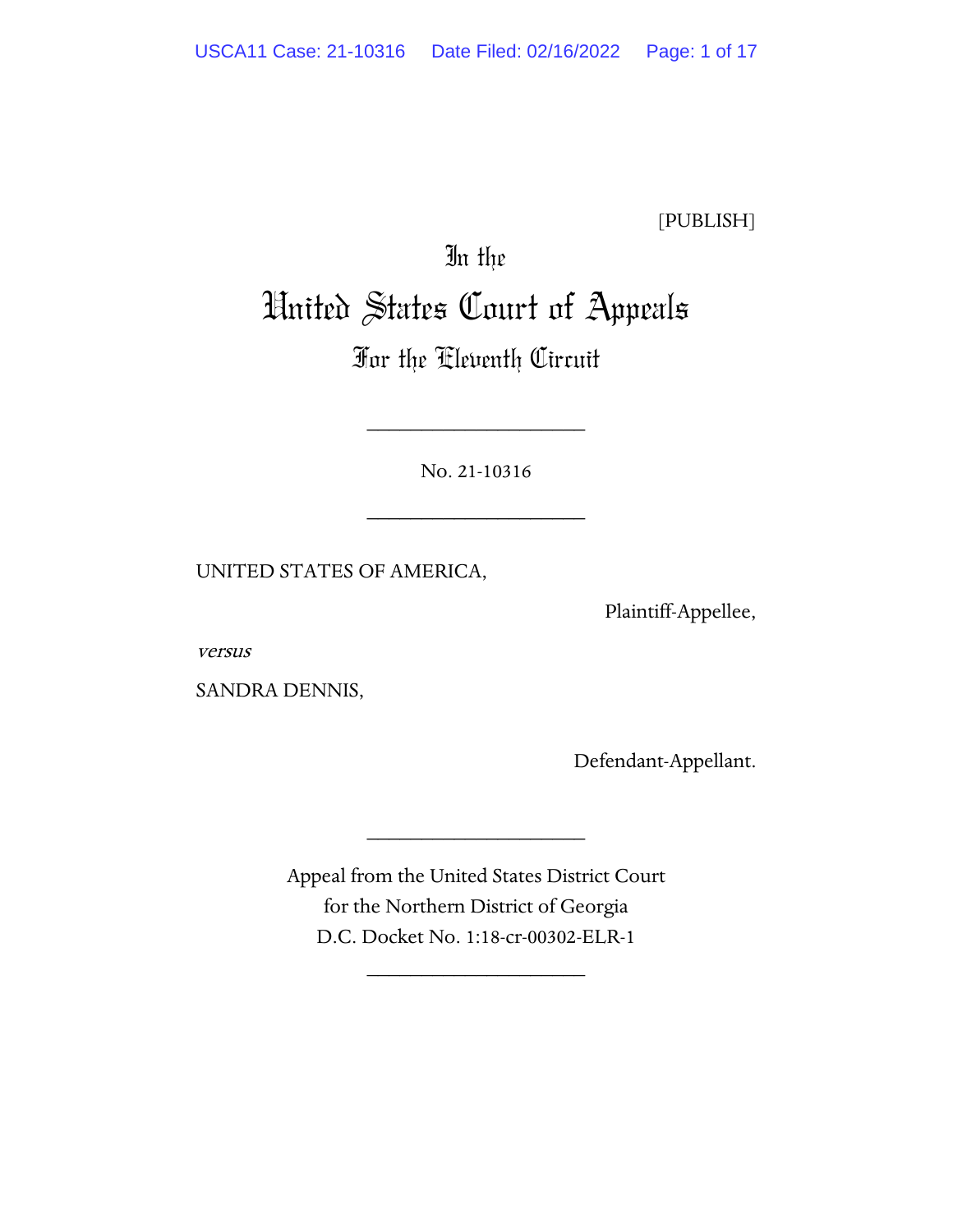[PUBLISH]

# In the United States Court of Appeals

# For the Eleventh Circuit

No. 21-10316

\_\_\_\_\_\_\_\_\_\_\_\_\_\_\_\_\_\_\_\_

\_\_\_\_\_\_\_\_\_\_\_\_\_\_\_\_\_\_\_\_

UNITED STATES OF AMERICA,

Plaintiff-Appellee,

versus

SANDRA DENNIS,

Defendant-Appellant.

Appeal from the United States District Court for the Northern District of Georgia D.C. Docket No. 1:18-cr-00302-ELR-1

\_\_\_\_\_\_\_\_\_\_\_\_\_\_\_\_\_\_\_\_

\_\_\_\_\_\_\_\_\_\_\_\_\_\_\_\_\_\_\_\_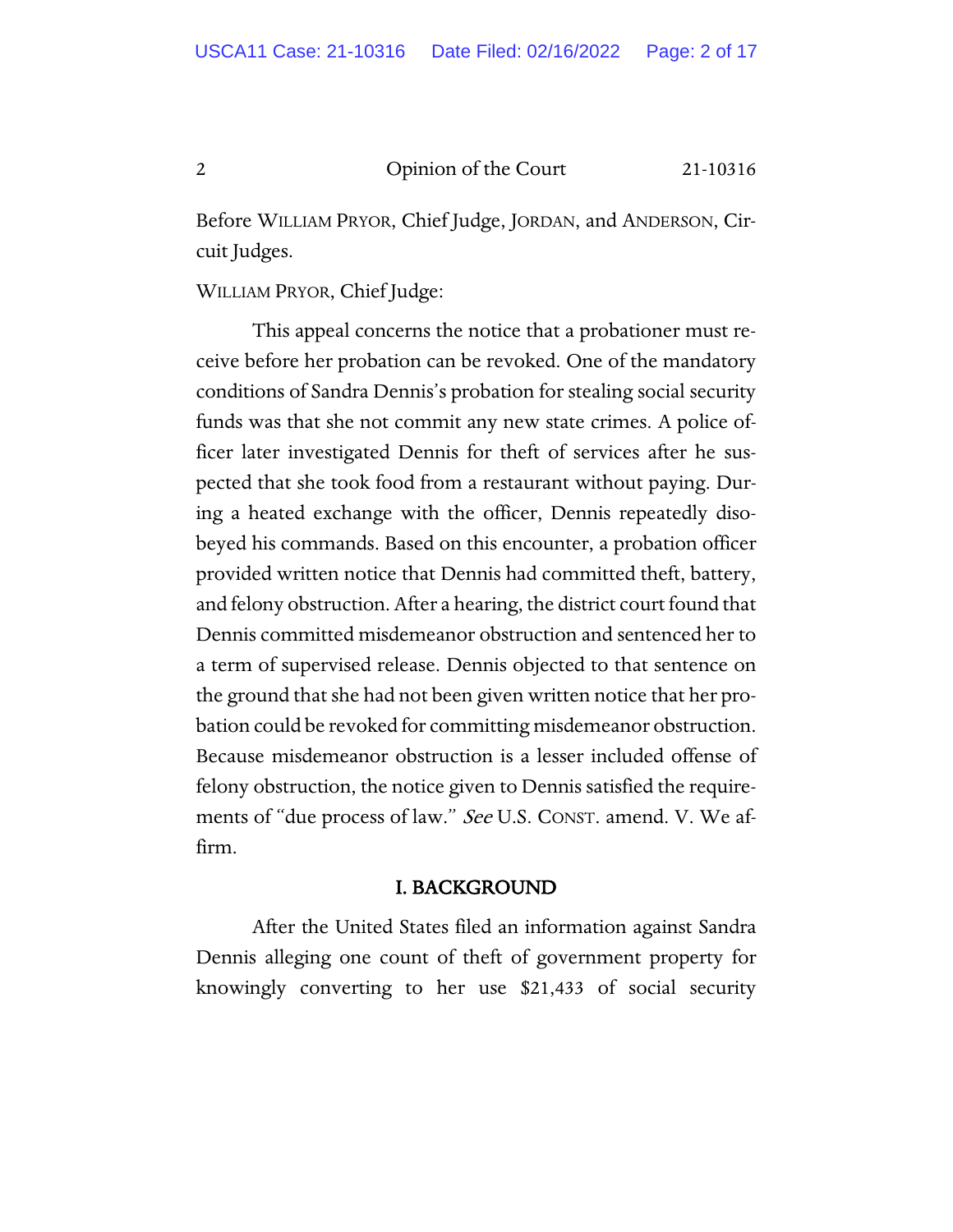Before WILLIAM PRYOR, Chief Judge, JORDAN, and ANDERSON, Circuit Judges.

WILLIAM PRYOR, Chief Judge:

This appeal concerns the notice that a probationer must receive before her probation can be revoked. One of the mandatory conditions of Sandra Dennis's probation for stealing social security funds was that she not commit any new state crimes. A police officer later investigated Dennis for theft of services after he suspected that she took food from a restaurant without paying. During a heated exchange with the officer, Dennis repeatedly disobeyed his commands. Based on this encounter, a probation officer provided written notice that Dennis had committed theft, battery, and felony obstruction. After a hearing, the district court found that Dennis committed misdemeanor obstruction and sentenced her to a term of supervised release. Dennis objected to that sentence on the ground that she had not been given written notice that her probation could be revoked for committing misdemeanor obstruction. Because misdemeanor obstruction is a lesser included offense of felony obstruction, the notice given to Dennis satisfied the requirements of "due process of law." See U.S. CONST. amend. V. We affirm.

## I. BACKGROUND

After the United States filed an information against Sandra Dennis alleging one count of theft of government property for knowingly converting to her use \$21,433 of social security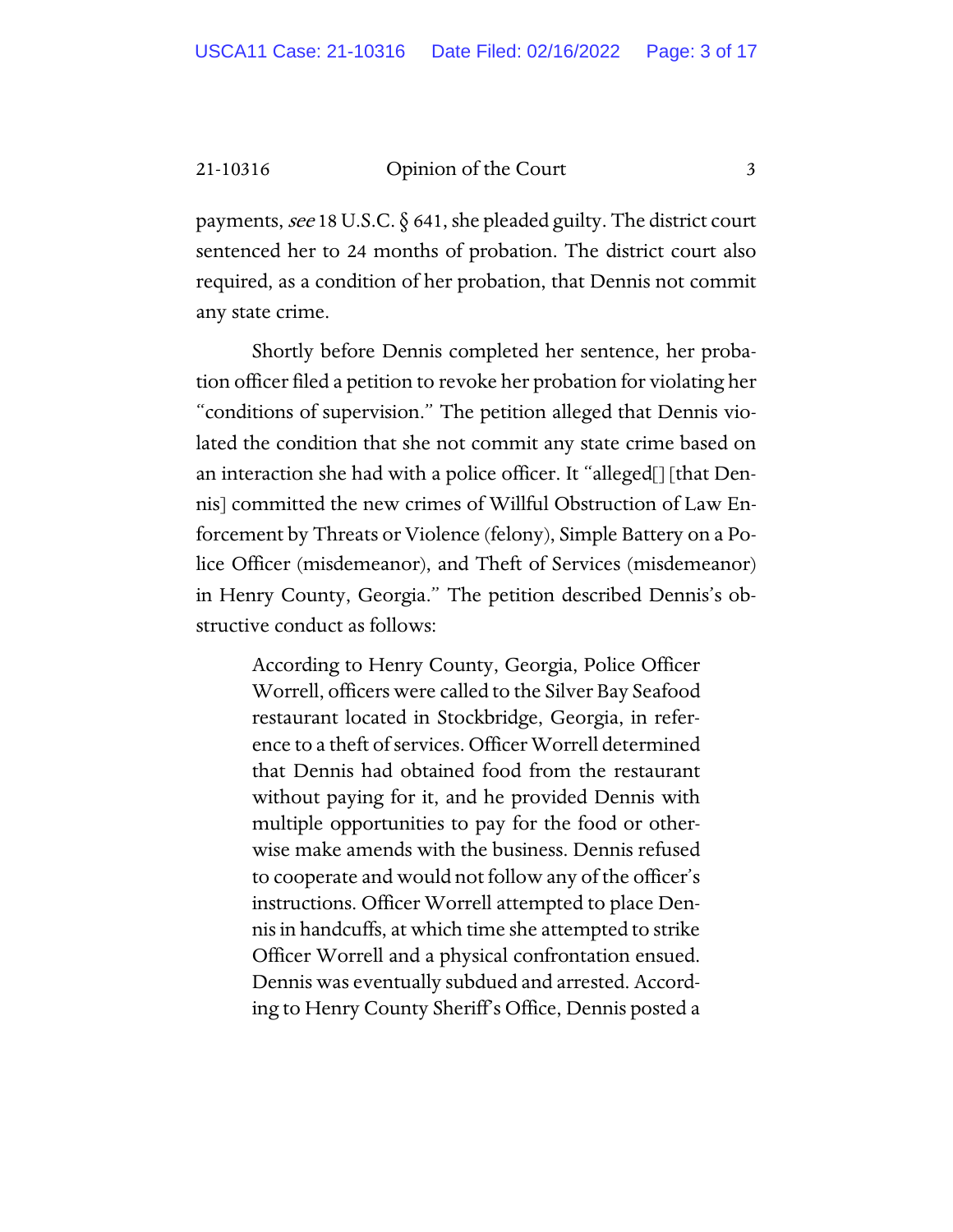payments, see 18 U.S.C. § 641, she pleaded guilty. The district court sentenced her to 24 months of probation. The district court also required, as a condition of her probation, that Dennis not commit any state crime.

Shortly before Dennis completed her sentence, her probation officer filed a petition to revoke her probation for violating her "conditions of supervision." The petition alleged that Dennis violated the condition that she not commit any state crime based on an interaction she had with a police officer. It "alleged[] [that Dennis] committed the new crimes of Willful Obstruction of Law Enforcement by Threats or Violence (felony), Simple Battery on a Police Officer (misdemeanor), and Theft of Services (misdemeanor) in Henry County, Georgia." The petition described Dennis's obstructive conduct as follows:

> According to Henry County, Georgia, Police Officer Worrell, officers were called to the Silver Bay Seafood restaurant located in Stockbridge, Georgia, in reference to a theft of services. Officer Worrell determined that Dennis had obtained food from the restaurant without paying for it, and he provided Dennis with multiple opportunities to pay for the food or otherwise make amends with the business. Dennis refused to cooperate and would not follow any of the officer's instructions. Officer Worrell attempted to place Dennis in handcuffs, at which time she attempted to strike Officer Worrell and a physical confrontation ensued. Dennis was eventually subdued and arrested. According to Henry County Sheriff's Office, Dennis posted a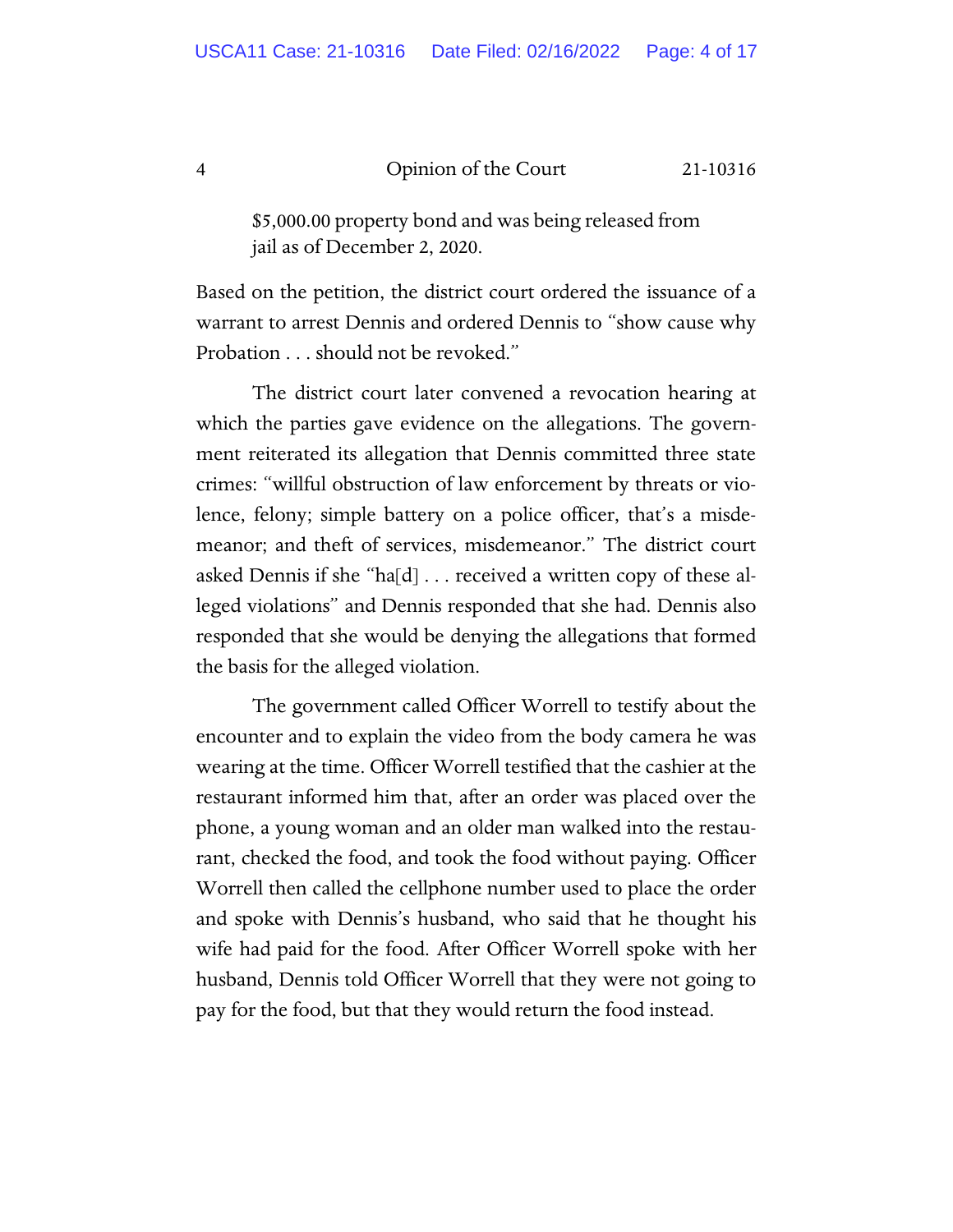\$5,000.00 property bond and was being released from jail as of December 2, 2020.

Based on the petition, the district court ordered the issuance of a warrant to arrest Dennis and ordered Dennis to "show cause why Probation . . . should not be revoked."

The district court later convened a revocation hearing at which the parties gave evidence on the allegations. The government reiterated its allegation that Dennis committed three state crimes: "willful obstruction of law enforcement by threats or violence, felony; simple battery on a police officer, that's a misdemeanor; and theft of services, misdemeanor." The district court asked Dennis if she "ha[d] . . . received a written copy of these alleged violations" and Dennis responded that she had. Dennis also responded that she would be denying the allegations that formed the basis for the alleged violation.

The government called Officer Worrell to testify about the encounter and to explain the video from the body camera he was wearing at the time. Officer Worrell testified that the cashier at the restaurant informed him that, after an order was placed over the phone, a young woman and an older man walked into the restaurant, checked the food, and took the food without paying. Officer Worrell then called the cellphone number used to place the order and spoke with Dennis's husband, who said that he thought his wife had paid for the food. After Officer Worrell spoke with her husband, Dennis told Officer Worrell that they were not going to pay for the food, but that they would return the food instead.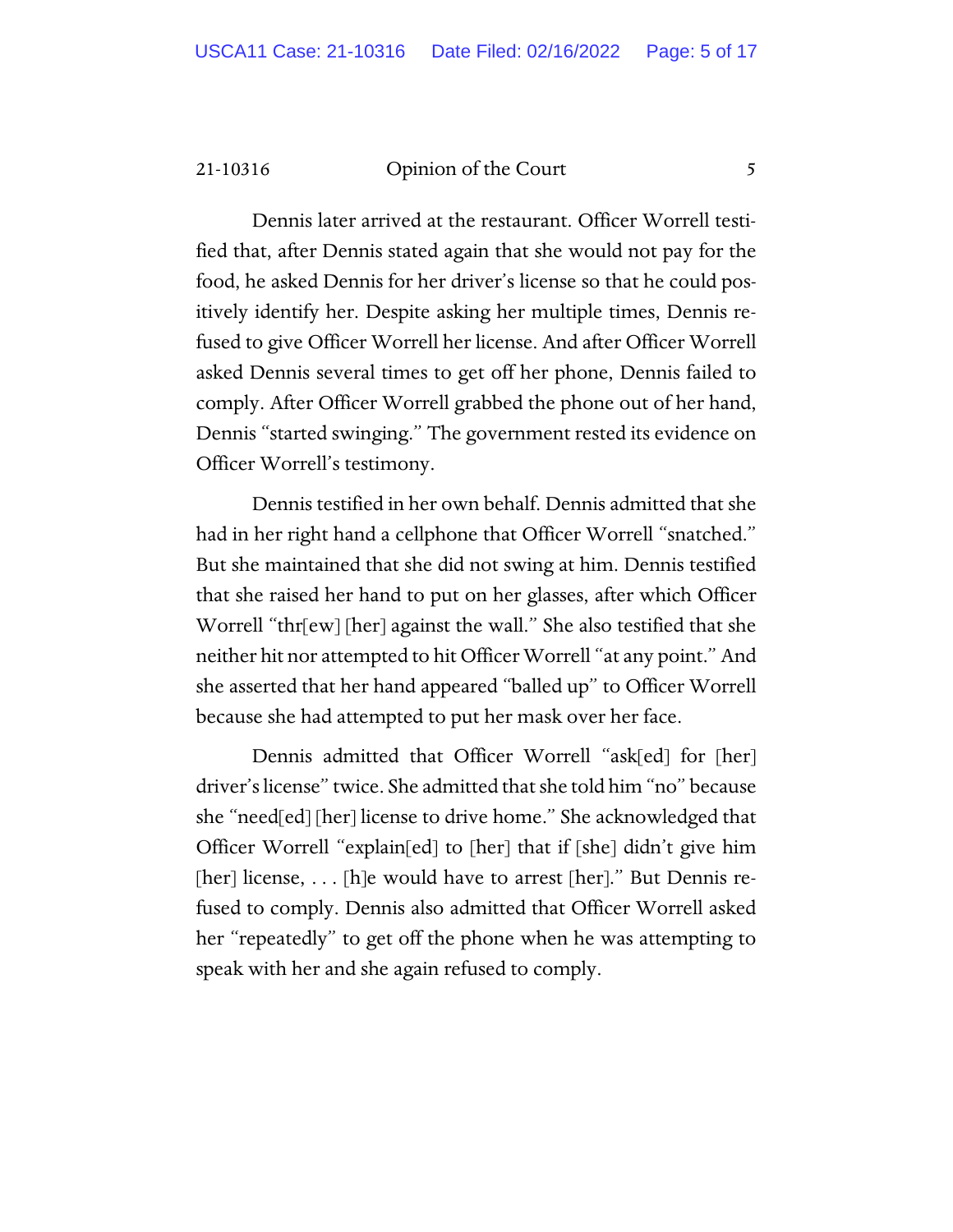Dennis later arrived at the restaurant. Officer Worrell testified that, after Dennis stated again that she would not pay for the food, he asked Dennis for her driver's license so that he could positively identify her. Despite asking her multiple times, Dennis refused to give Officer Worrell her license. And after Officer Worrell asked Dennis several times to get off her phone, Dennis failed to comply. After Officer Worrell grabbed the phone out of her hand, Dennis "started swinging." The government rested its evidence on Officer Worrell's testimony.

Dennis testified in her own behalf. Dennis admitted that she had in her right hand a cellphone that Officer Worrell "snatched." But she maintained that she did not swing at him. Dennis testified that she raised her hand to put on her glasses, after which Officer Worrell "thr[ew] [her] against the wall." She also testified that she neither hit nor attempted to hit Officer Worrell "at any point." And she asserted that her hand appeared "balled up" to Officer Worrell because she had attempted to put her mask over her face.

Dennis admitted that Officer Worrell "ask[ed] for [her] driver's license" twice. She admitted that she told him "no" because she "need[ed] [her] license to drive home." She acknowledged that Officer Worrell "explain[ed] to [her] that if [she] didn't give him [her] license, . . . [h]e would have to arrest [her]." But Dennis refused to comply. Dennis also admitted that Officer Worrell asked her "repeatedly" to get off the phone when he was attempting to speak with her and she again refused to comply.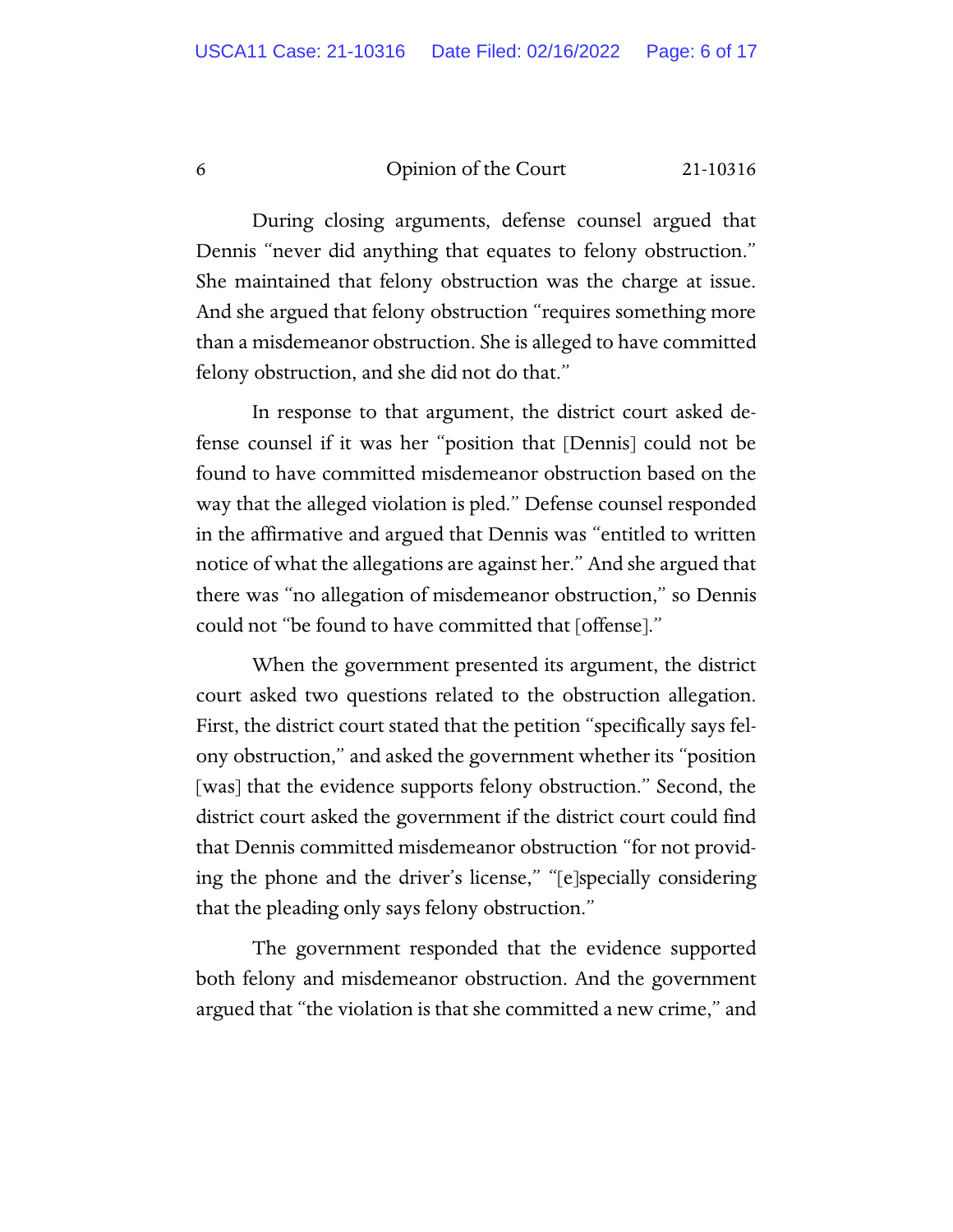During closing arguments, defense counsel argued that Dennis "never did anything that equates to felony obstruction." She maintained that felony obstruction was the charge at issue. And she argued that felony obstruction "requires something more than a misdemeanor obstruction. She is alleged to have committed felony obstruction, and she did not do that."

In response to that argument, the district court asked defense counsel if it was her "position that [Dennis] could not be found to have committed misdemeanor obstruction based on the way that the alleged violation is pled." Defense counsel responded in the affirmative and argued that Dennis was "entitled to written notice of what the allegations are against her." And she argued that there was "no allegation of misdemeanor obstruction," so Dennis could not "be found to have committed that [offense]."

When the government presented its argument, the district court asked two questions related to the obstruction allegation. First, the district court stated that the petition "specifically says felony obstruction," and asked the government whether its "position [was] that the evidence supports felony obstruction." Second, the district court asked the government if the district court could find that Dennis committed misdemeanor obstruction "for not providing the phone and the driver's license," "[e]specially considering that the pleading only says felony obstruction."

The government responded that the evidence supported both felony and misdemeanor obstruction. And the government argued that "the violation is that she committed a new crime," and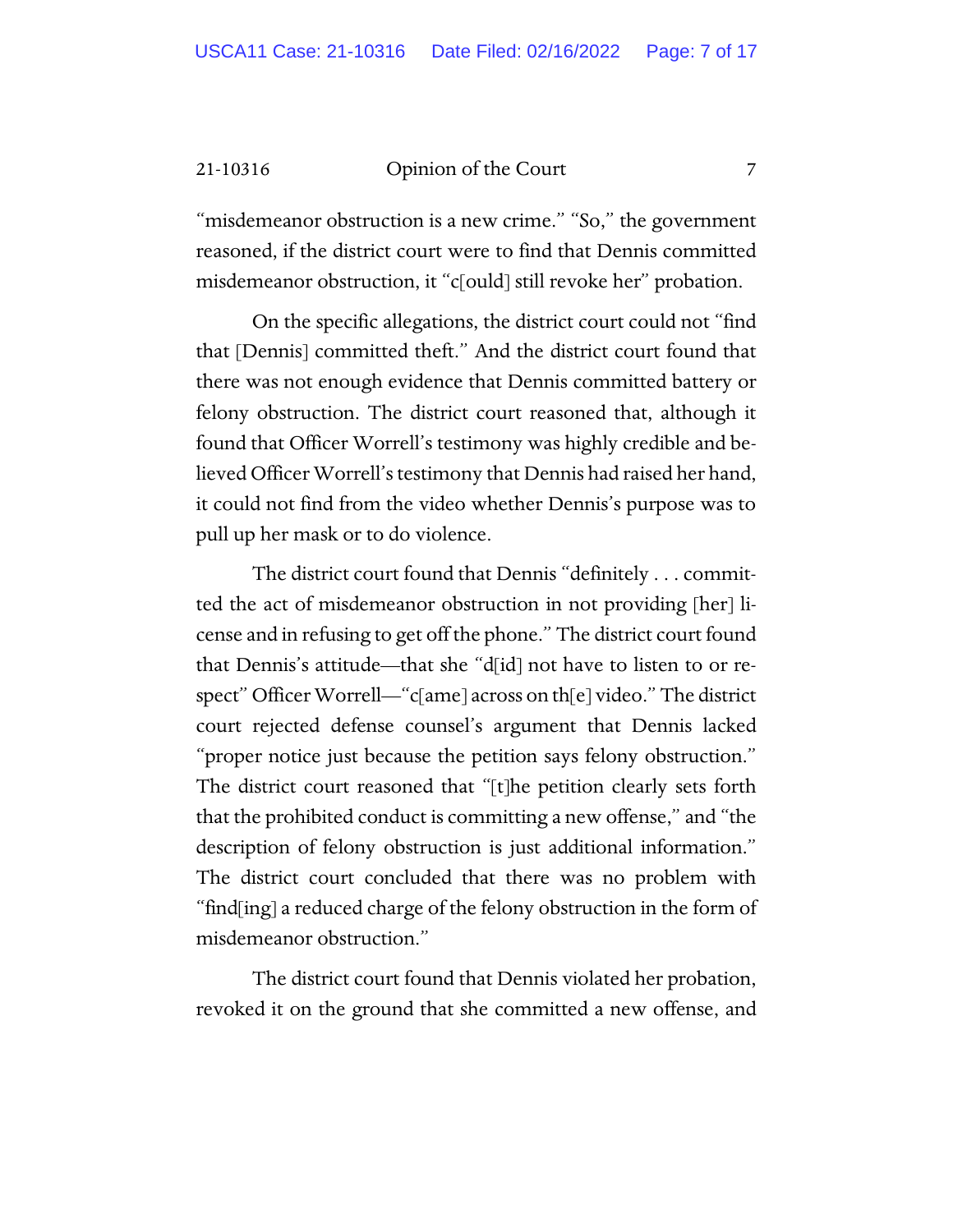"misdemeanor obstruction is a new crime." "So," the government reasoned, if the district court were to find that Dennis committed misdemeanor obstruction, it "c[ould] still revoke her" probation.

On the specific allegations, the district court could not "find that [Dennis] committed theft." And the district court found that there was not enough evidence that Dennis committed battery or felony obstruction. The district court reasoned that, although it found that Officer Worrell's testimony was highly credible and believed Officer Worrell's testimony that Dennis had raised her hand, it could not find from the video whether Dennis's purpose was to pull up her mask or to do violence.

The district court found that Dennis "definitely . . . committed the act of misdemeanor obstruction in not providing [her] license and in refusing to get off the phone." The district court found that Dennis's attitude—that she "d[id] not have to listen to or respect" Officer Worrell—"c[ame] across on th[e] video." The district court rejected defense counsel's argument that Dennis lacked "proper notice just because the petition says felony obstruction." The district court reasoned that "[t]he petition clearly sets forth that the prohibited conduct is committing a new offense," and "the description of felony obstruction is just additional information." The district court concluded that there was no problem with "find[ing] a reduced charge of the felony obstruction in the form of misdemeanor obstruction."

The district court found that Dennis violated her probation, revoked it on the ground that she committed a new offense, and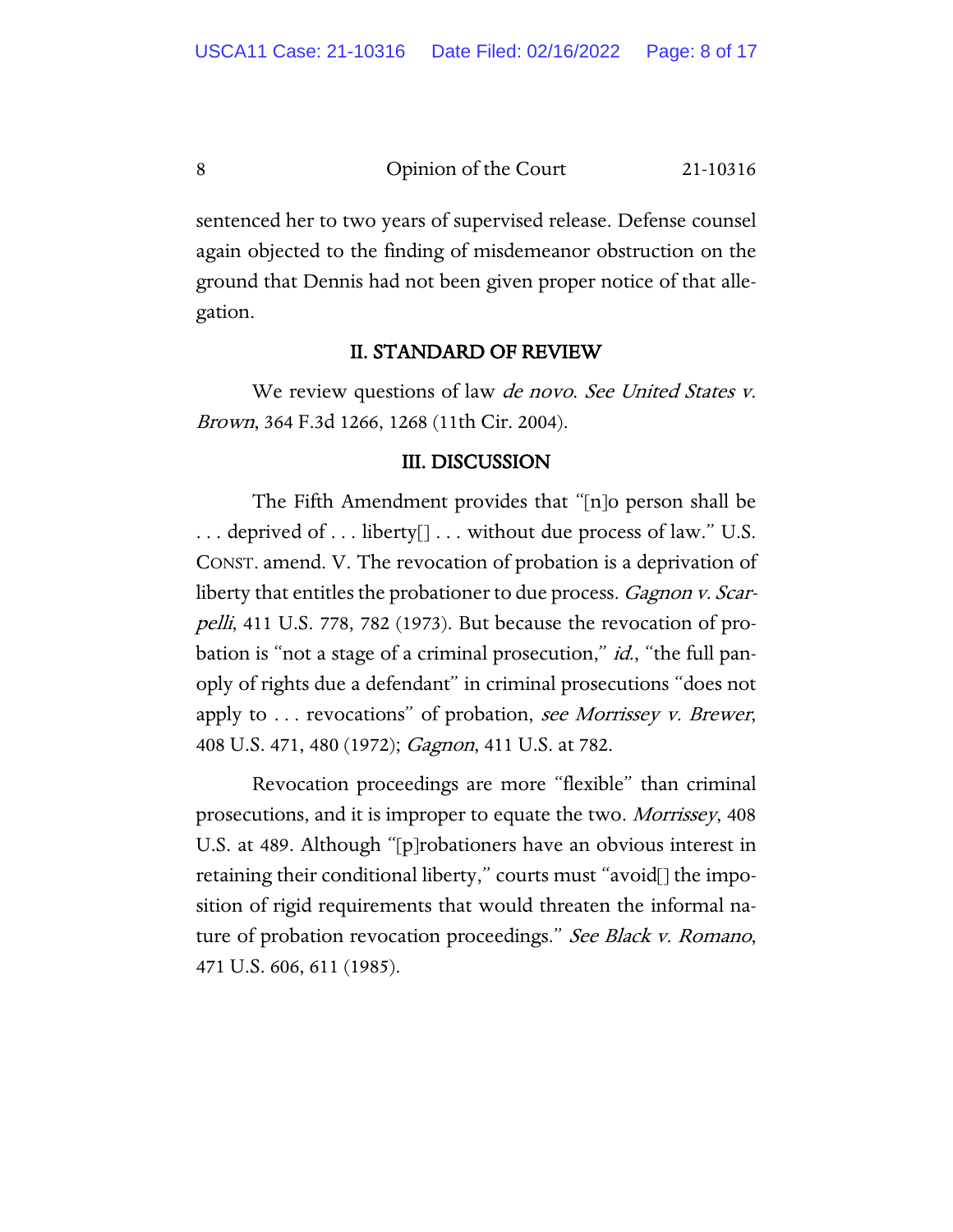sentenced her to two years of supervised release. Defense counsel again objected to the finding of misdemeanor obstruction on the ground that Dennis had not been given proper notice of that allegation.

## II. STANDARD OF REVIEW

We review questions of law *de novo. See United States v.* Brown, 364 F.3d 1266, 1268 (11th Cir. 2004).

#### III. DISCUSSION

The Fifth Amendment provides that "[n]o person shall be . . . deprived of . . . liberty[] . . . without due process of law." U.S. CONST. amend. V. The revocation of probation is a deprivation of liberty that entitles the probationer to due process. *Gagnon v. Scar*pelli, 411 U.S. 778, 782 (1973). But because the revocation of probation is "not a stage of a criminal prosecution," *id.*, "the full panoply of rights due a defendant" in criminal prosecutions "does not apply to  $\ldots$  revocations" of probation, see Morrissey v. Brewer, 408 U.S. 471, 480 (1972); *Gagnon*, 411 U.S. at 782.

Revocation proceedings are more "flexible" than criminal prosecutions, and it is improper to equate the two. Morrissey, 408 U.S. at 489. Although "[p]robationers have an obvious interest in retaining their conditional liberty," courts must "avoid[] the imposition of rigid requirements that would threaten the informal nature of probation revocation proceedings." See Black v. Romano, 471 U.S. 606, 611 (1985).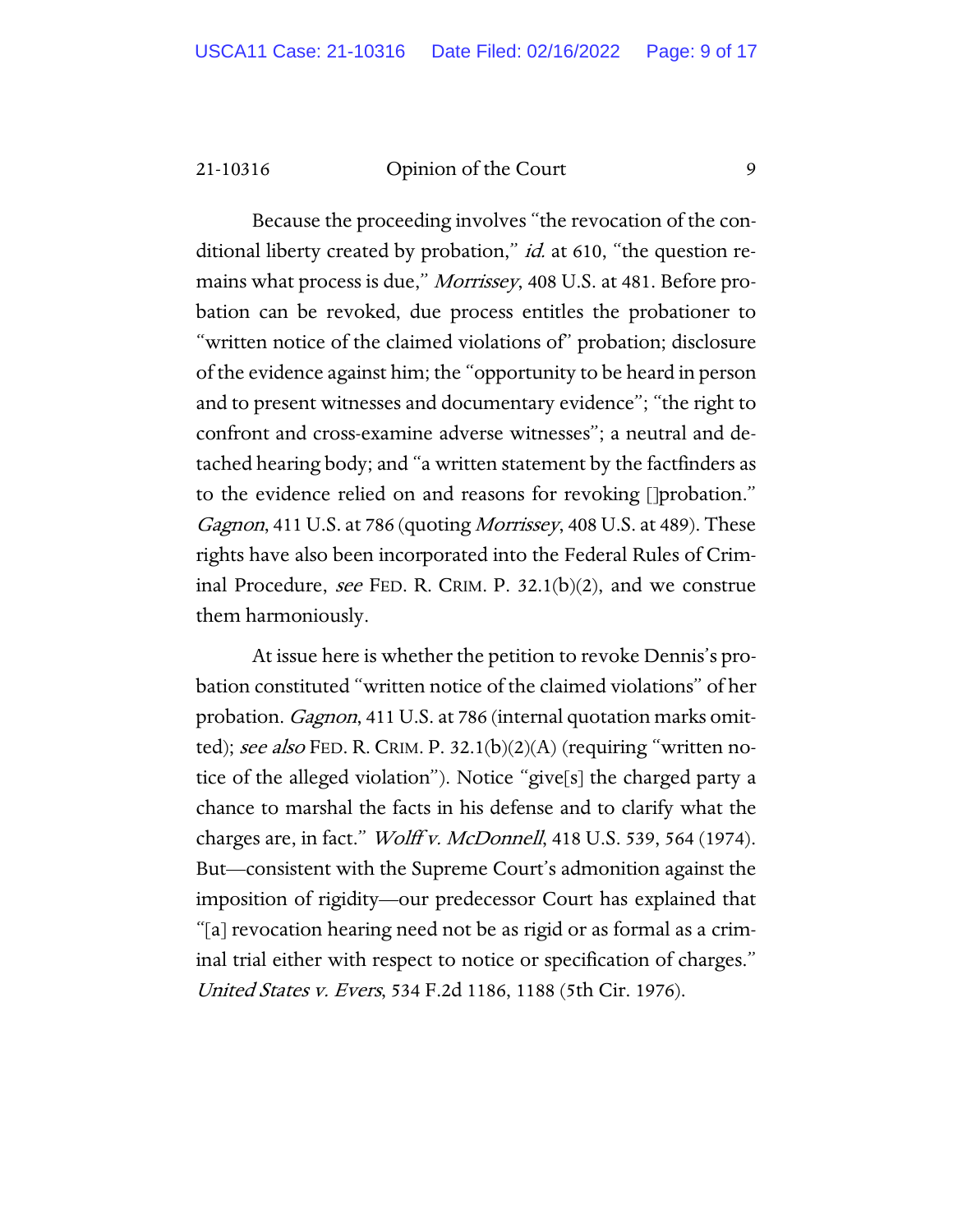Because the proceeding involves "the revocation of the conditional liberty created by probation," *id.* at 610, "the question remains what process is due," *Morrissey*, 408 U.S. at 481. Before probation can be revoked, due process entitles the probationer to "written notice of the claimed violations of" probation; disclosure of the evidence against him; the "opportunity to be heard in person and to present witnesses and documentary evidence"; "the right to confront and cross-examine adverse witnesses"; a neutral and detached hearing body; and "a written statement by the factfinders as to the evidence relied on and reasons for revoking []probation." Gagnon, 411 U.S. at 786 (quoting Morrissey, 408 U.S. at 489). These rights have also been incorporated into the Federal Rules of Criminal Procedure, see FED. R. CRIM. P. 32.1(b)(2), and we construe them harmoniously.

At issue here is whether the petition to revoke Dennis's probation constituted "written notice of the claimed violations" of her probation. *Gagnon*, 411 U.S. at 786 (internal quotation marks omitted); see also FED. R. CRIM. P. 32.1(b)(2)(A) (requiring "written notice of the alleged violation"). Notice "give[s] the charged party a chance to marshal the facts in his defense and to clarify what the charges are, in fact." Wolff v. McDonnell, 418 U.S. 539, 564 (1974). But—consistent with the Supreme Court's admonition against the imposition of rigidity—our predecessor Court has explained that "[a] revocation hearing need not be as rigid or as formal as a criminal trial either with respect to notice or specification of charges." United States v. Evers, 534 F.2d 1186, 1188 (5th Cir. 1976).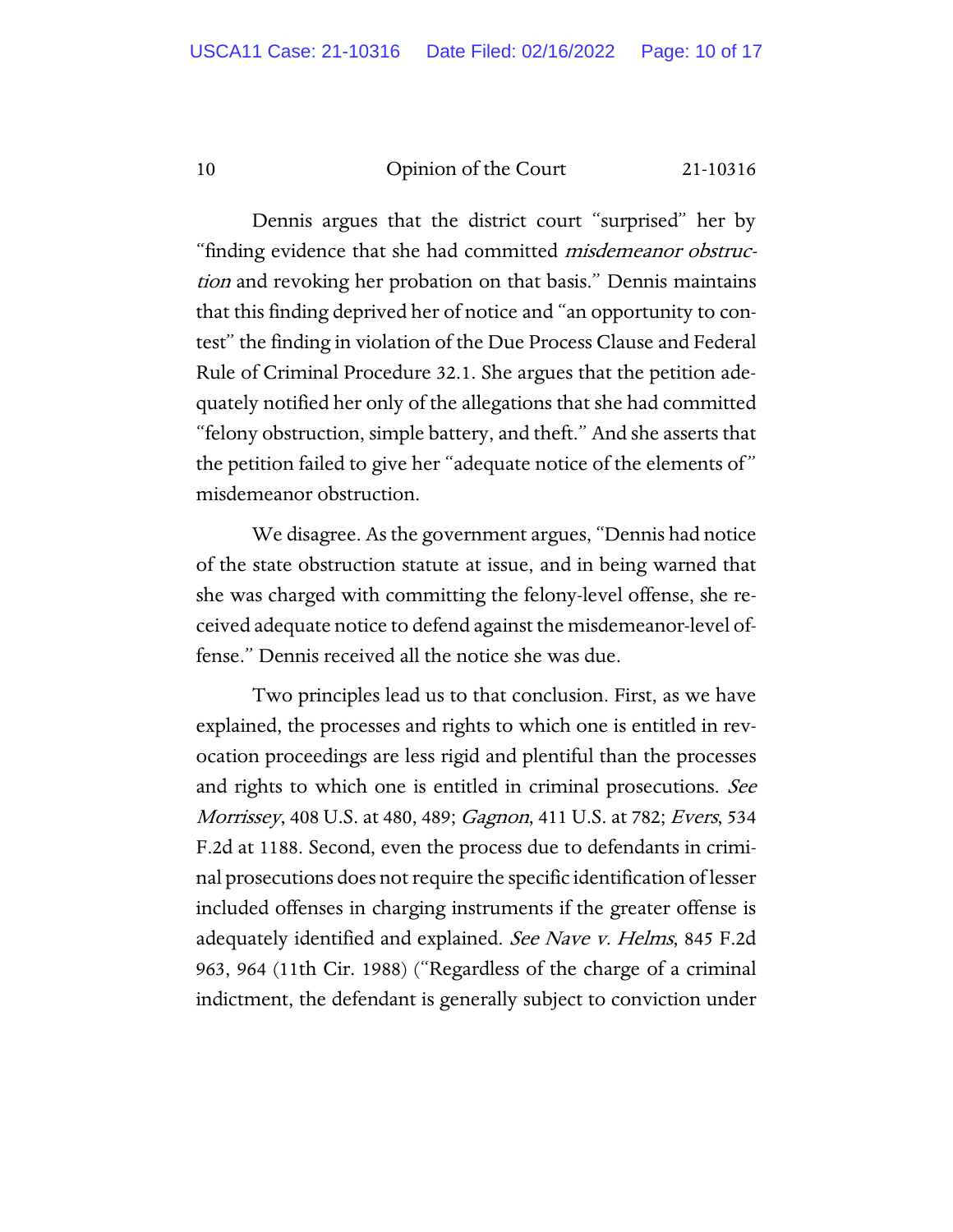Dennis argues that the district court "surprised" her by "finding evidence that she had committed *misdemeanor obstruc*tion and revoking her probation on that basis." Dennis maintains that this finding deprived her of notice and "an opportunity to contest" the finding in violation of the Due Process Clause and Federal Rule of Criminal Procedure 32.1. She argues that the petition adequately notified her only of the allegations that she had committed "felony obstruction, simple battery, and theft." And she asserts that the petition failed to give her "adequate notice of the elements of " misdemeanor obstruction.

We disagree. As the government argues, "Dennis had notice of the state obstruction statute at issue, and in being warned that she was charged with committing the felony-level offense, she received adequate notice to defend against the misdemeanor-level offense." Dennis received all the notice she was due.

Two principles lead us to that conclusion. First, as we have explained, the processes and rights to which one is entitled in revocation proceedings are less rigid and plentiful than the processes and rights to which one is entitled in criminal prosecutions. See Morrissey, 408 U.S. at 480, 489; Gagnon, 411 U.S. at 782; Evers, 534 F.2d at 1188. Second, even the process due to defendants in criminal prosecutions does not require the specific identification of lesser included offenses in charging instruments if the greater offense is adequately identified and explained. See Nave v. Helms, 845 F.2d 963, 964 (11th Cir. 1988) ("Regardless of the charge of a criminal indictment, the defendant is generally subject to conviction under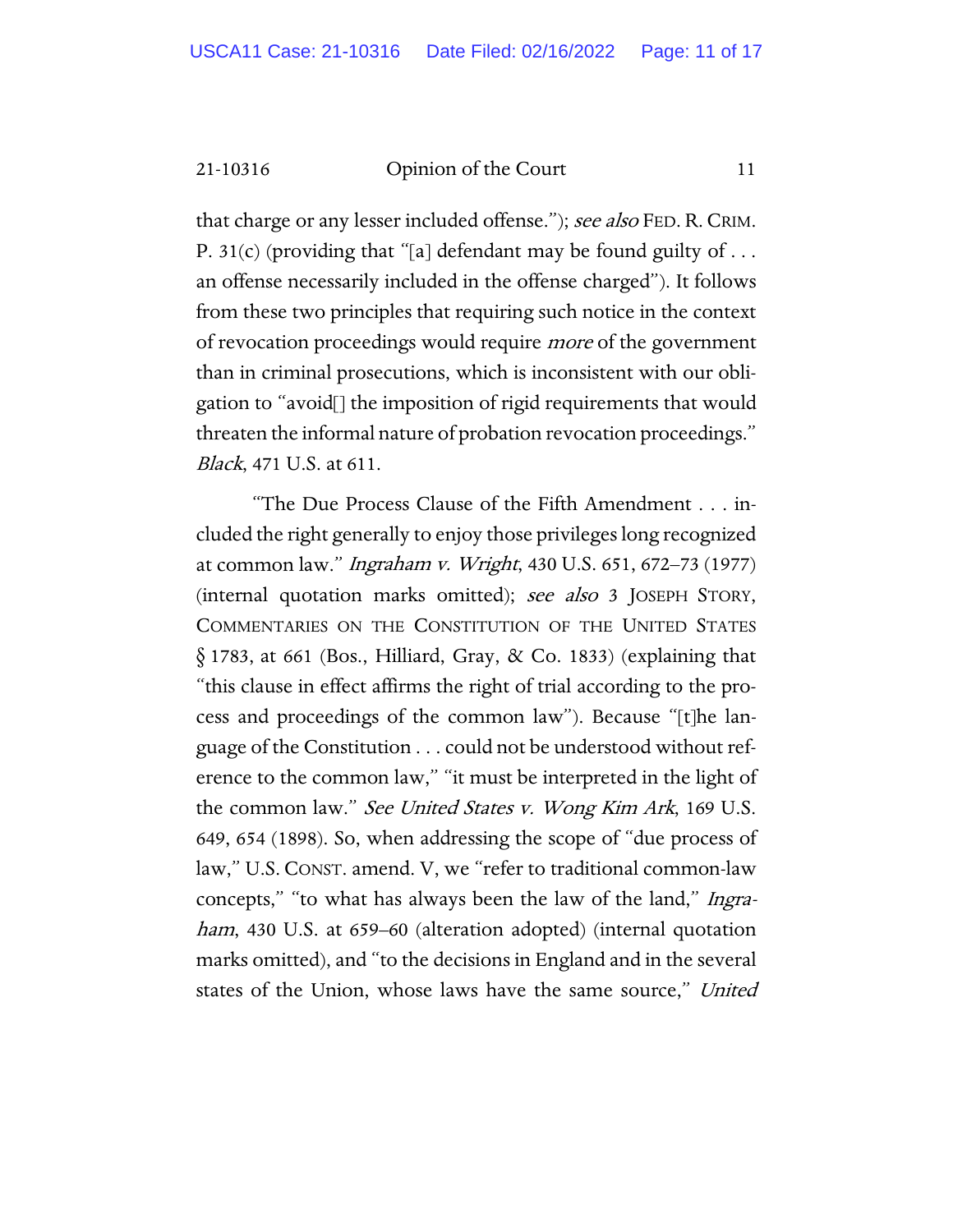that charge or any lesser included offense."); see also FED. R. CRIM. P. 31(c) (providing that "[a] defendant may be found guilty of  $\dots$ an offense necessarily included in the offense charged"). It follows from these two principles that requiring such notice in the context of revocation proceedings would require *more* of the government than in criminal prosecutions, which is inconsistent with our obligation to "avoid[] the imposition of rigid requirements that would threaten the informal nature of probation revocation proceedings." Black, 471 U.S. at 611.

"The Due Process Clause of the Fifth Amendment . . . included the right generally to enjoy those privileges long recognized at common law." Ingraham v. Wright, 430 U.S. 651, 672–73 (1977) (internal quotation marks omitted); see also 3 JOSEPH STORY, COMMENTARIES ON THE CONSTITUTION OF THE UNITED STATES  $\S$  1783, at 661 (Bos., Hilliard, Gray, & Co. 1833) (explaining that "this clause in effect affirms the right of trial according to the process and proceedings of the common law"). Because "[t]he language of the Constitution . . . could not be understood without reference to the common law," "it must be interpreted in the light of the common law." See United States v. Wong Kim Ark, 169 U.S. 649, 654 (1898). So, when addressing the scope of "due process of law," U.S. CONST. amend. V, we "refer to traditional common-law concepts," "to what has always been the law of the land," Ingraham, 430 U.S. at 659–60 (alteration adopted) (internal quotation marks omitted), and "to the decisions in England and in the several states of the Union, whose laws have the same source," United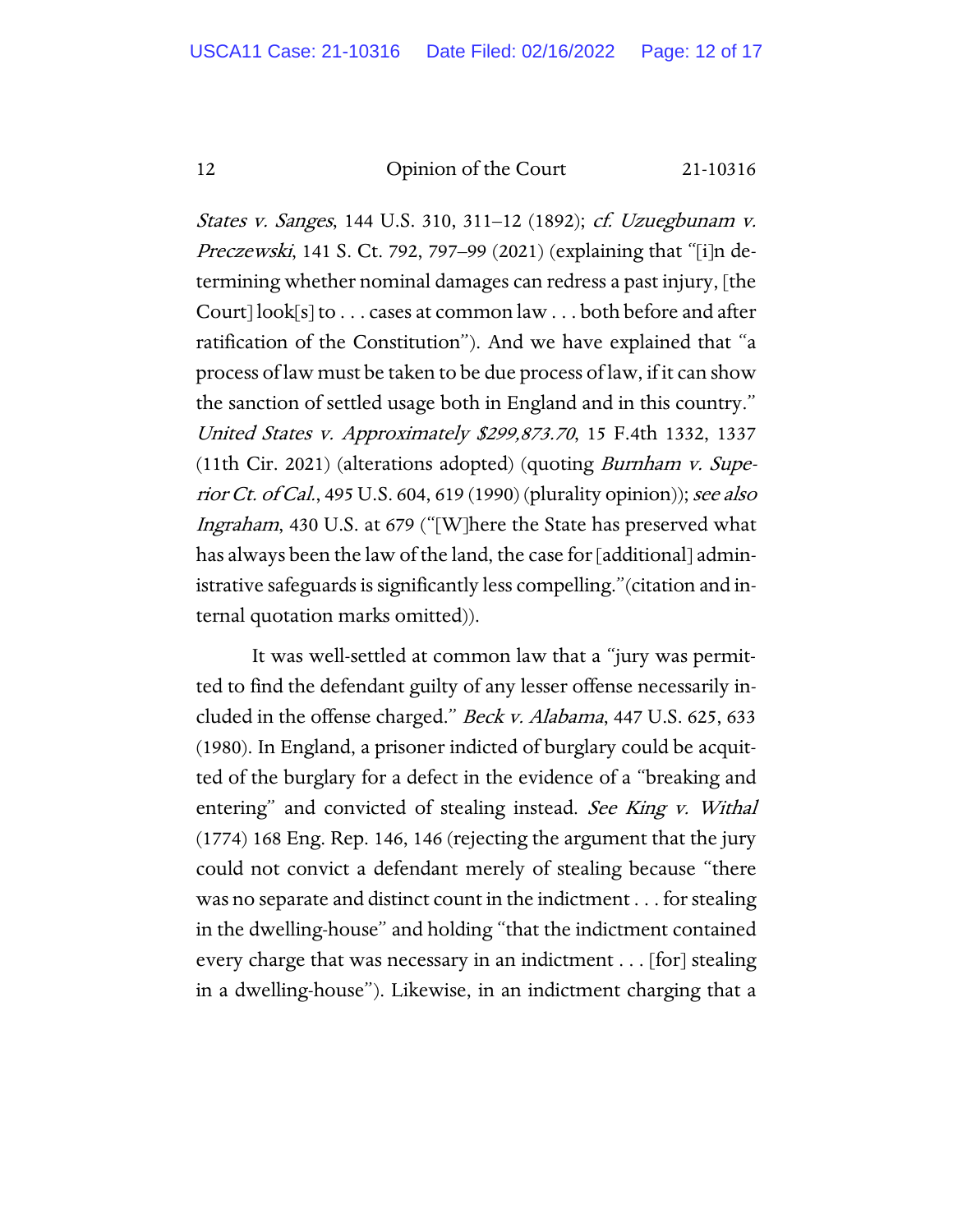States v. Sanges, 144 U.S. 310, 311–12 (1892); cf. Uzuegbunam v. Preczewski, 141 S. Ct. 792, 797–99 (2021) (explaining that "[i]n determining whether nominal damages can redress a past injury, [the Court] look[s] to . . . cases at common law . . . both before and after ratification of the Constitution"). And we have explained that "a process of law must be taken to be due process of law, if it can show the sanction of settled usage both in England and in this country." United States v. Approximately \$299,873.70, 15 F.4th 1332, 1337 (11th Cir. 2021) (alterations adopted) (quoting Burnham v. Superior Ct. of Cal., 495 U.S. 604, 619 (1990) (plurality opinion)); see also Ingraham, 430 U.S. at 679 ("[W]here the State has preserved what has always been the law of the land, the case for [additional] administrative safeguards is significantly less compelling."(citation and internal quotation marks omitted)).

It was well-settled at common law that a "jury was permitted to find the defendant guilty of any lesser offense necessarily included in the offense charged." *Beck v. Alabama*, 447 U.S. 625, 633 (1980). In England, a prisoner indicted of burglary could be acquitted of the burglary for a defect in the evidence of a "breaking and entering" and convicted of stealing instead. See King v. Withal (1774) 168 Eng. Rep. 146, 146 (rejecting the argument that the jury could not convict a defendant merely of stealing because "there was no separate and distinct count in the indictment . . . for stealing in the dwelling-house" and holding "that the indictment contained every charge that was necessary in an indictment . . . [for] stealing in a dwelling-house"). Likewise, in an indictment charging that a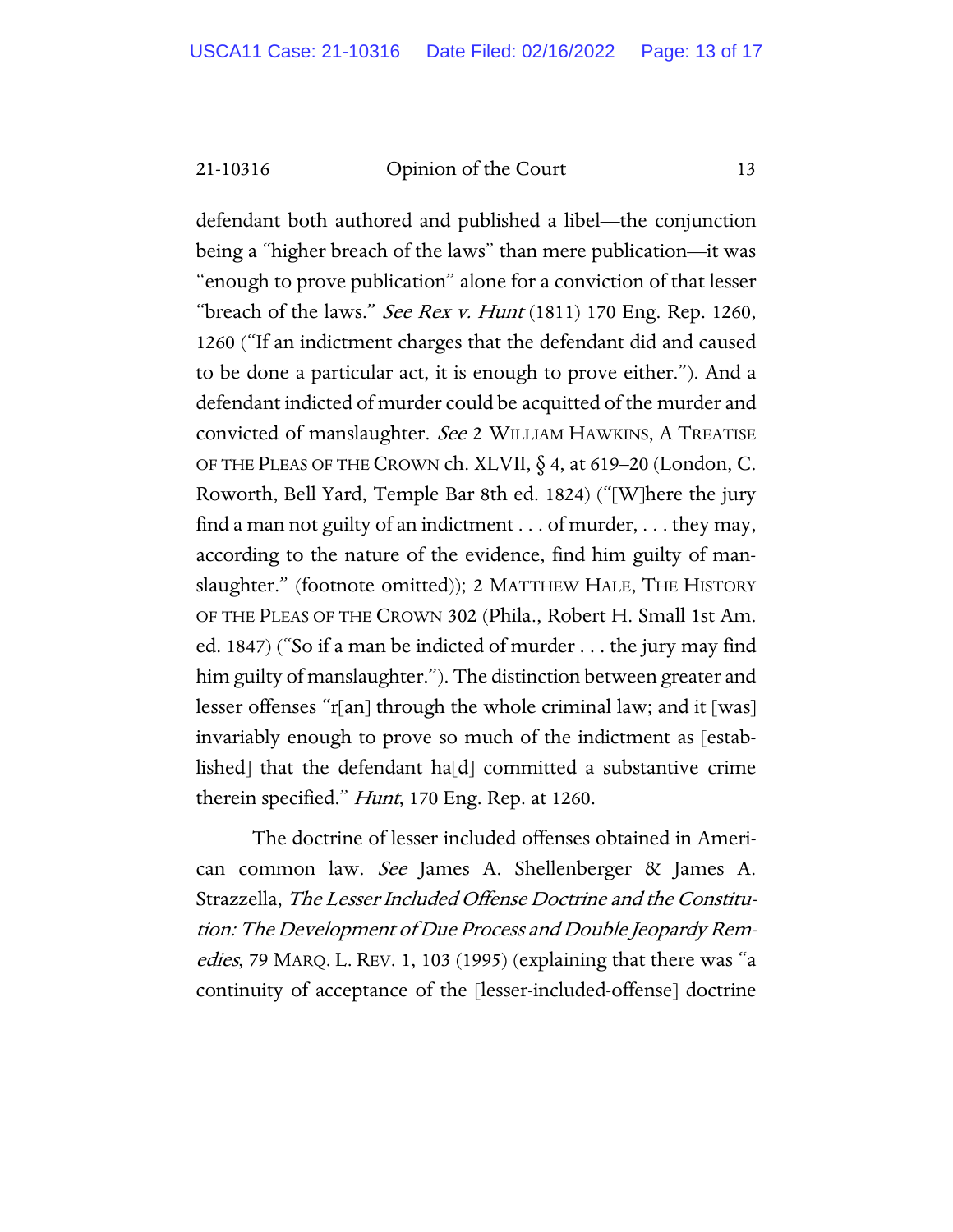defendant both authored and published a libel—the conjunction being a "higher breach of the laws" than mere publication—it was "enough to prove publication" alone for a conviction of that lesser "breach of the laws." See Rex v. Hunt  $(1811)$  170 Eng. Rep. 1260, 1260 ("If an indictment charges that the defendant did and caused to be done a particular act, it is enough to prove either."). And a defendant indicted of murder could be acquitted of the murder and convicted of manslaughter. See 2 WILLIAM HAWKINS, A TREATISE OF THE PLEAS OF THE CROWN ch. XLVII,  $\S$  4, at 619–20 (London, C. Roworth, Bell Yard, Temple Bar 8th ed. 1824) ("[W]here the jury find a man not guilty of an indictment . . . of murder, . . . they may, according to the nature of the evidence, find him guilty of manslaughter." (footnote omitted)); 2 MATTHEW HALE, THE HISTORY OF THE PLEAS OF THE CROWN 302 (Phila., Robert H. Small 1st Am. ed. 1847) ("So if a man be indicted of murder . . . the jury may find him guilty of manslaughter."). The distinction between greater and lesser offenses "r[an] through the whole criminal law; and it [was] invariably enough to prove so much of the indictment as [established] that the defendant ha[d] committed a substantive crime therein specified." Hunt, 170 Eng. Rep. at 1260.

The doctrine of lesser included offenses obtained in American common law. See James A. Shellenberger & James A. Strazzella, The Lesser Included Offense Doctrine and the Constitution: The Development of Due Process and Double Jeopardy Remedies, 79 MARQ. L. REV. 1, 103 (1995) (explaining that there was "a continuity of acceptance of the [lesser-included-offense] doctrine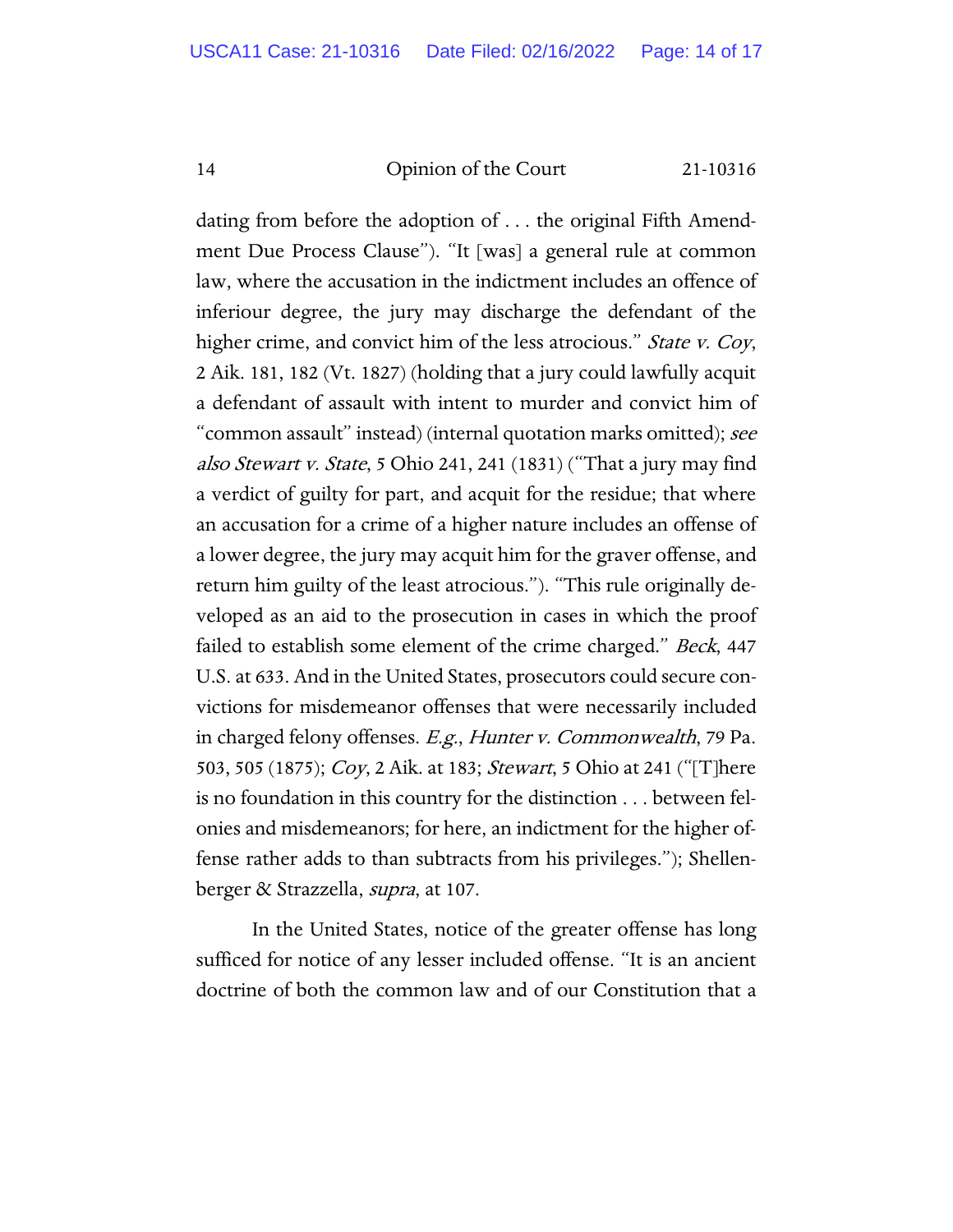dating from before the adoption of . . . the original Fifth Amendment Due Process Clause"). "It [was] a general rule at common law, where the accusation in the indictment includes an offence of inferiour degree, the jury may discharge the defendant of the higher crime, and convict him of the less atrocious." State v. Coy, 2 Aik. 181, 182 (Vt. 1827) (holding that a jury could lawfully acquit a defendant of assault with intent to murder and convict him of "common assault" instead) (internal quotation marks omitted); see also Stewart v. State, 5 Ohio 241, 241 (1831) ("That a jury may find a verdict of guilty for part, and acquit for the residue; that where an accusation for a crime of a higher nature includes an offense of a lower degree, the jury may acquit him for the graver offense, and return him guilty of the least atrocious."). "This rule originally developed as an aid to the prosecution in cases in which the proof failed to establish some element of the crime charged." *Beck*, 447 U.S. at 633. And in the United States, prosecutors could secure convictions for misdemeanor offenses that were necessarily included in charged felony offenses. E.g., Hunter v. Commonwealth, 79 Pa. 503, 505 (1875); *Coy*, 2 Aik. at 183; *Stewart*, 5 Ohio at 241 ("[T]here is no foundation in this country for the distinction . . . between felonies and misdemeanors; for here, an indictment for the higher offense rather adds to than subtracts from his privileges."); Shellenberger & Strazzella, supra, at 107.

In the United States, notice of the greater offense has long sufficed for notice of any lesser included offense. "It is an ancient doctrine of both the common law and of our Constitution that a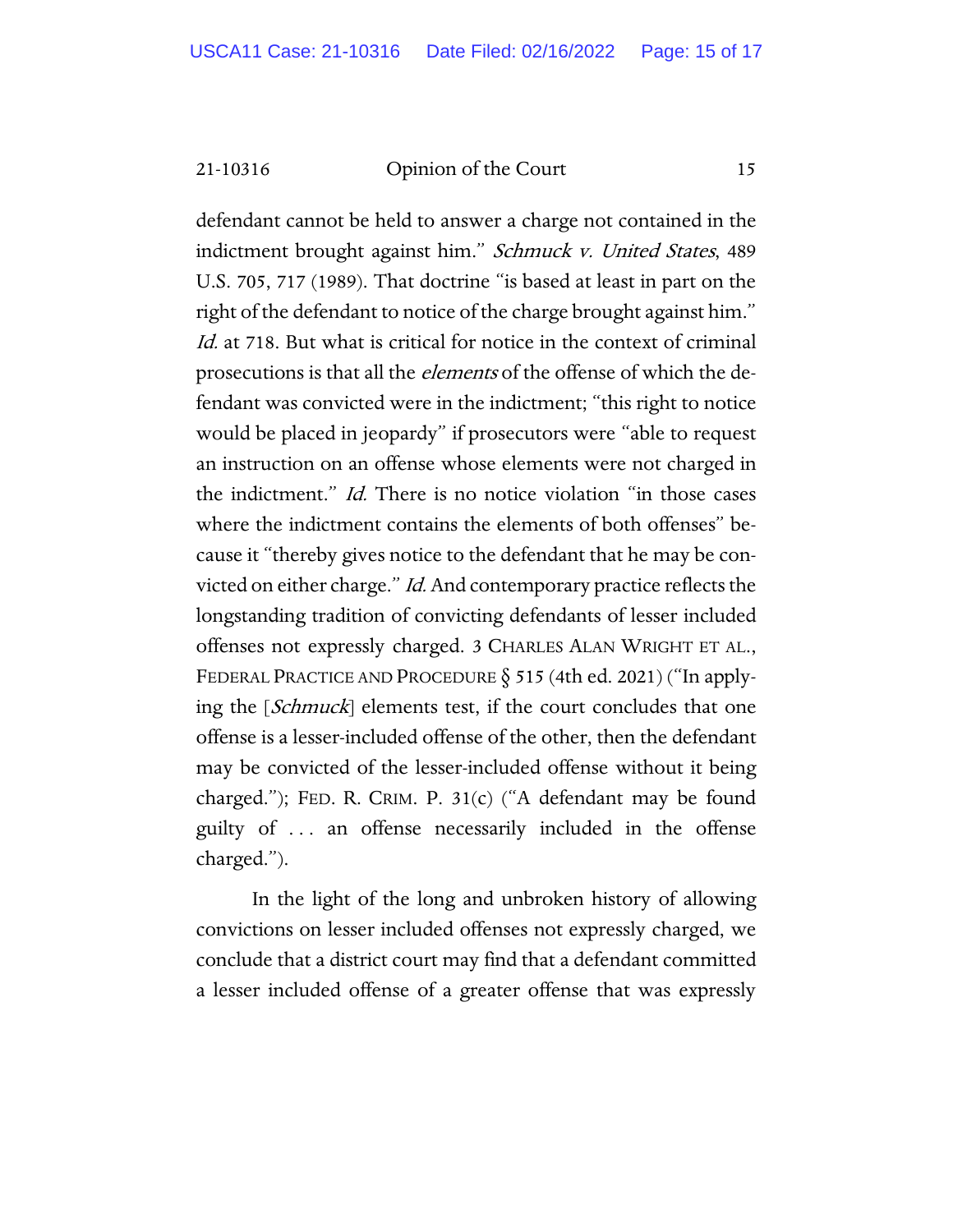defendant cannot be held to answer a charge not contained in the indictment brought against him." Schmuck v. United States, 489 U.S. 705, 717 (1989). That doctrine "is based at least in part on the right of the defendant to notice of the charge brought against him." Id. at 718. But what is critical for notice in the context of criminal prosecutions is that all the *elements* of the offense of which the defendant was convicted were in the indictment; "this right to notice would be placed in jeopardy" if prosecutors were "able to request an instruction on an offense whose elements were not charged in the indictment." Id. There is no notice violation "in those cases where the indictment contains the elements of both offenses" because it "thereby gives notice to the defendant that he may be convicted on either charge." *Id.* And contemporary practice reflects the longstanding tradition of convicting defendants of lesser included offenses not expressly charged. 3 CHARLES ALAN WRIGHT ET AL., FEDERAL PRACTICE AND PROCEDURE  $\S$  515 (4th ed. 2021) ("In applying the [*Schmuck*] elements test, if the court concludes that one offense is a lesser-included offense of the other, then the defendant may be convicted of the lesser-included offense without it being charged."); FED. R. CRIM. P. 31(c) ("A defendant may be found guilty of . . . an offense necessarily included in the offense charged.").

In the light of the long and unbroken history of allowing convictions on lesser included offenses not expressly charged, we conclude that a district court may find that a defendant committed a lesser included offense of a greater offense that was expressly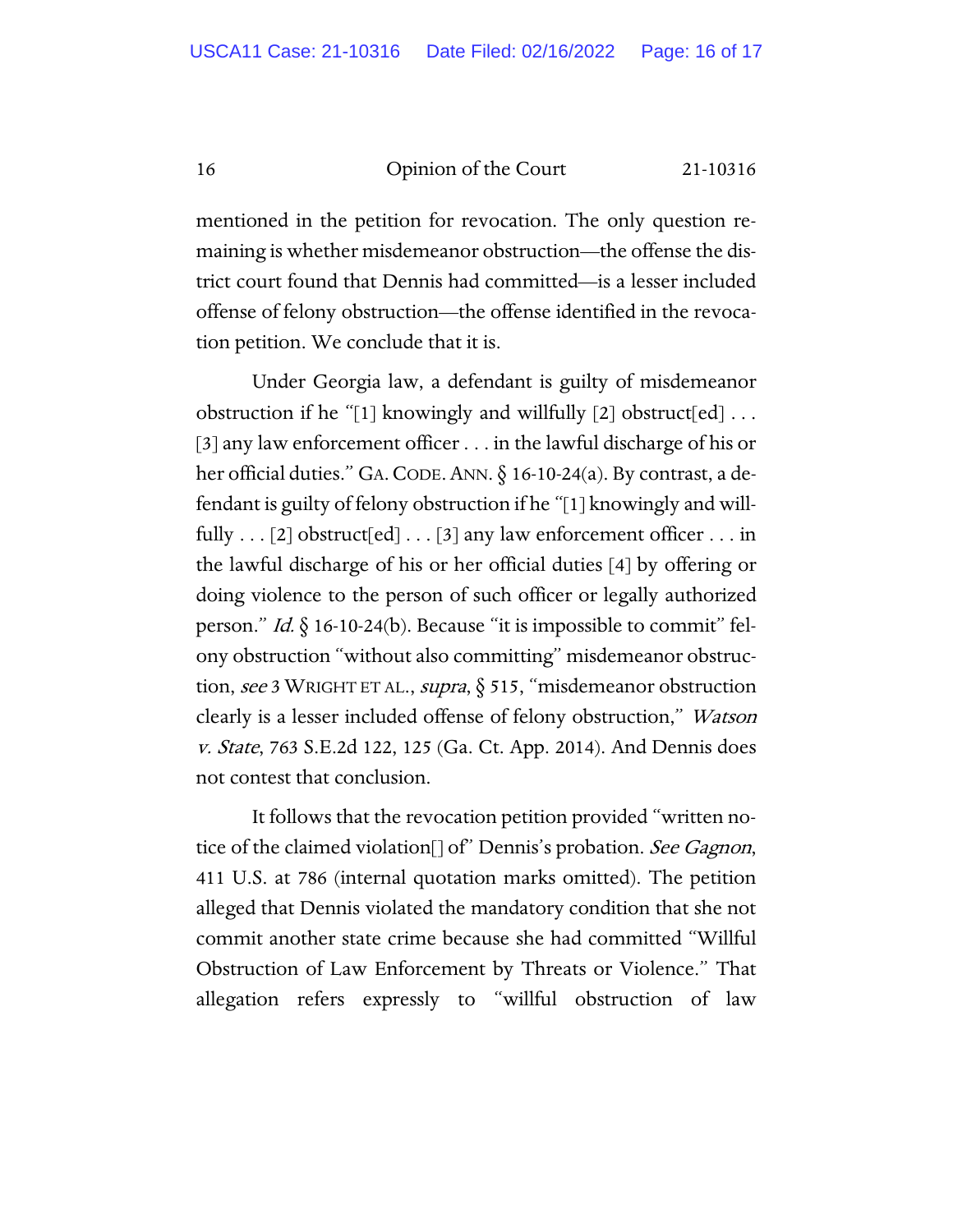mentioned in the petition for revocation. The only question remaining is whether misdemeanor obstruction—the offense the district court found that Dennis had committed—is a lesser included offense of felony obstruction—the offense identified in the revocation petition. We conclude that it is.

Under Georgia law, a defendant is guilty of misdemeanor obstruction if he "[1] knowingly and willfully [2] obstruct[ed]  $\dots$ [3] any law enforcement officer . . . in the lawful discharge of his or her official duties." GA.CODE.ANN. § 16-10-24(a). By contrast, a defendant is guilty of felony obstruction if he "[1] knowingly and willfully  $\dots$  [2] obstruct [ed]  $\dots$  [3] any law enforcement officer  $\dots$  in the lawful discharge of his or her official duties [4] by offering or doing violence to the person of such officer or legally authorized person." *Id.*  $\oint$  16-10-24(b). Because "it is impossible to commit" felony obstruction "without also committing" misdemeanor obstruction, see 3 WRIGHT ET AL., supra, § 515, "misdemeanor obstruction clearly is a lesser included offense of felony obstruction," *Watson* v. State, 763 S.E.2d 122, 125 (Ga. Ct. App. 2014). And Dennis does not contest that conclusion.

It follows that the revocation petition provided "written notice of the claimed violation<sup>[]</sup> of" Dennis's probation. See Gagnon, 411 U.S. at 786 (internal quotation marks omitted). The petition alleged that Dennis violated the mandatory condition that she not commit another state crime because she had committed "Willful Obstruction of Law Enforcement by Threats or Violence." That allegation refers expressly to "willful obstruction of law